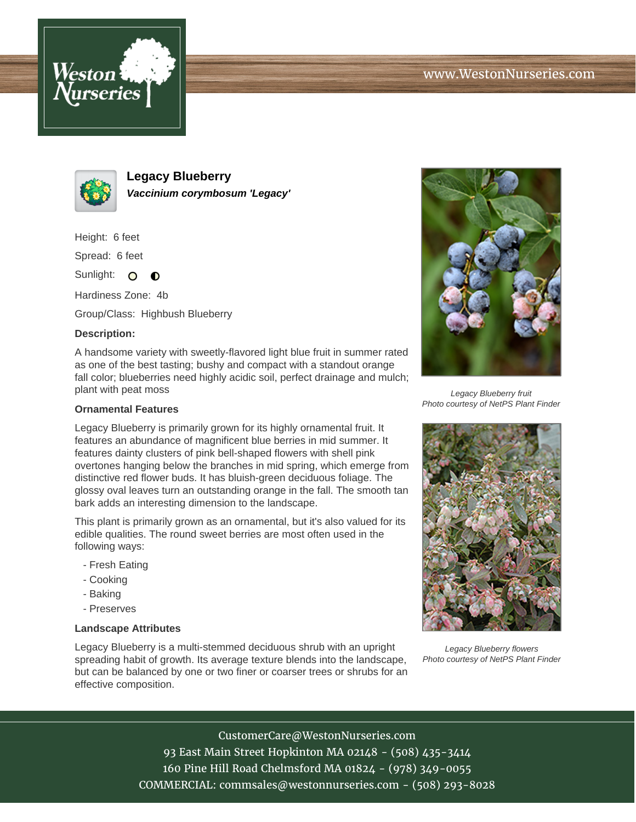



**Legacy Blueberry Vaccinium corymbosum 'Legacy'**

Height: 6 feet

Spread: 6 feet

Sunlight: O  $\bullet$ 

Hardiness Zone: 4b

Group/Class: Highbush Blueberry

## **Description:**

A handsome variety with sweetly-flavored light blue fruit in summer rated as one of the best tasting; bushy and compact with a standout orange fall color; blueberries need highly acidic soil, perfect drainage and mulch; plant with peat moss

## **Ornamental Features**

Legacy Blueberry is primarily grown for its highly ornamental fruit. It features an abundance of magnificent blue berries in mid summer. It features dainty clusters of pink bell-shaped flowers with shell pink overtones hanging below the branches in mid spring, which emerge from distinctive red flower buds. It has bluish-green deciduous foliage. The glossy oval leaves turn an outstanding orange in the fall. The smooth tan bark adds an interesting dimension to the landscape.

This plant is primarily grown as an ornamental, but it's also valued for its edible qualities. The round sweet berries are most often used in the following ways:

- Fresh Eating
- Cooking
- Baking
- Preserves

## **Landscape Attributes**

Legacy Blueberry is a multi-stemmed deciduous shrub with an upright spreading habit of growth. Its average texture blends into the landscape, but can be balanced by one or two finer or coarser trees or shrubs for an effective composition.



Legacy Blueberry fruit Photo courtesy of NetPS Plant Finder



Legacy Blueberry flowers Photo courtesy of NetPS Plant Finder

CustomerCare@WestonNurseries.com

93 East Main Street Hopkinton MA 02148 - (508) 435-3414 160 Pine Hill Road Chelmsford MA 01824 - (978) 349-0055 COMMERCIAL: commsales@westonnurseries.com - (508) 293-8028